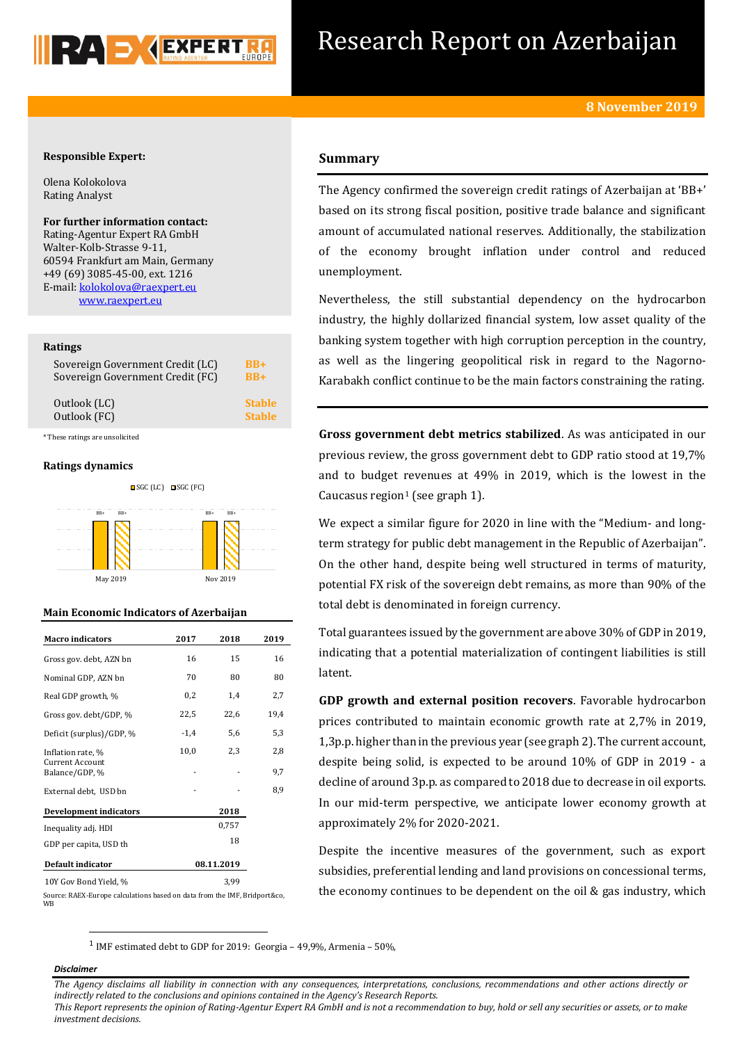

# Research Report on Azerbaijan

# **Responsible Expert:**

Olena Kolokolova Rating Analyst

**For further information contact:** Rating-Agentur Expert RA GmbH Walter-Kolb-Strasse 9-11, 60594 Frankfurt am Main, Germany +49 (69) 3085-45-00, ext. 1216 E-mail: [kolokolova@raexpert.eu](mailto:kolokolova@raexpert.eu) [www.raexpert.eu](http://raexpert.eu/)

#### **Ratings**

| Sovereign Government Credit (LC) | BB+           |
|----------------------------------|---------------|
| Sovereign Government Credit (FC) | $RB+$         |
| Outlook (LC)                     | <b>Stable</b> |
| Outlook (FC)                     | <b>Stable</b> |

\* These ratings are unsolicited

### **Ratings dynamics**



# **Main Economic Indicators of Azerbaijan**

| <b>Macro indicators</b>                  | 2017       | 2018 | 2019 |  |
|------------------------------------------|------------|------|------|--|
| Gross gov. debt, AZN bn                  | 16         | 15   | 16   |  |
| Nominal GDP, AZN bn                      | 70         | 80   | 80   |  |
| Real GDP growth, %                       | 0,2        | 1,4  | 2,7  |  |
| Gross gov. debt/GDP, %                   | 22,5       | 22,6 | 19,4 |  |
| Deficit (surplus)/GDP, %                 | $-1,4$     | 5,6  | 5,3  |  |
| Inflation rate, %                        | 10,0       | 2,3  | 2,8  |  |
| <b>Current Account</b><br>Balance/GDP, % |            |      | 9,7  |  |
| External debt, USD bn                    |            |      | 8,9  |  |
| <b>Development indicators</b>            |            | 2018 |      |  |
| Inequality adj. HDI                      | 0,757      |      |      |  |
| GDP per capita, USD th                   |            | 18   |      |  |
| Default indicator                        | 08.11.2019 |      |      |  |
| 10Y Gov Bond Yield, %                    |            | 3,99 |      |  |

Source: RAEX-Europe calculations based on data from the IMF, Bridport&co, WB

# **Summary**

The Agency confirmed the sovereign credit ratings of Azerbaijan at 'BB+' based on its strong fiscal position, positive trade balance and significant amount of accumulated national reserves. Additionally, the stabilization of the economy brought inflation under control and reduced unemployment.

Nevertheless, the still substantial dependency on the hydrocarbon industry, the highly dollarized financial system, low asset quality of the banking system together with high corruption perception in the country, as well as the lingering geopolitical risk in regard to the Nagorno-Karabakh conflict continue to be the main factors constraining the rating.

**Gross government debt metrics stabilized**. As was anticipated in our previous review, the gross government debt to GDP ratio stood at 19,7% and to budget revenues at 49% in 2019, which is the lowest in the Caucasus region<sup>1</sup> (see graph 1).

We expect a similar figure for 2020 in line with the "Medium- and longterm strategy for public debt management in the Republic of Azerbaijan". On the other hand, despite being well structured in terms of maturity, potential FX risk of the sovereign debt remains, as more than 90% of the total debt is denominated in foreign currency.

Total guarantees issued by the government are above 30% of GDP in 2019, indicating that a potential materialization of contingent liabilities is still latent.

**GDP growth and external position recovers**. Favorable hydrocarbon prices contributed to maintain economic growth rate at 2,7% in 2019, 1,3p.p. higher than in the previous year (see graph 2). The current account, despite being solid, is expected to be around 10% of GDP in 2019 - a decline of around 3p.p. as compared to 2018 due to decrease in oil exports. In our mid-term perspective, we anticipate lower economy growth at approximately 2% for 2020-2021.

Despite the incentive measures of the government, such as export subsidies, preferential lending and land provisions on concessional terms, the economy continues to be dependent on the oil & gas industry, which

<sup>1</sup> IMF estimated debt to GDP for 2019: Georgia - 49,9%, Armenia - 50%,

#### *Disclaimer*

**.** 

*The Agency disclaims all liability in connection with any consequences, interpretations, conclusions, recommendations and other actions directly or indirectly related to the conclusions and opinions contained in the Agency's Research Reports.*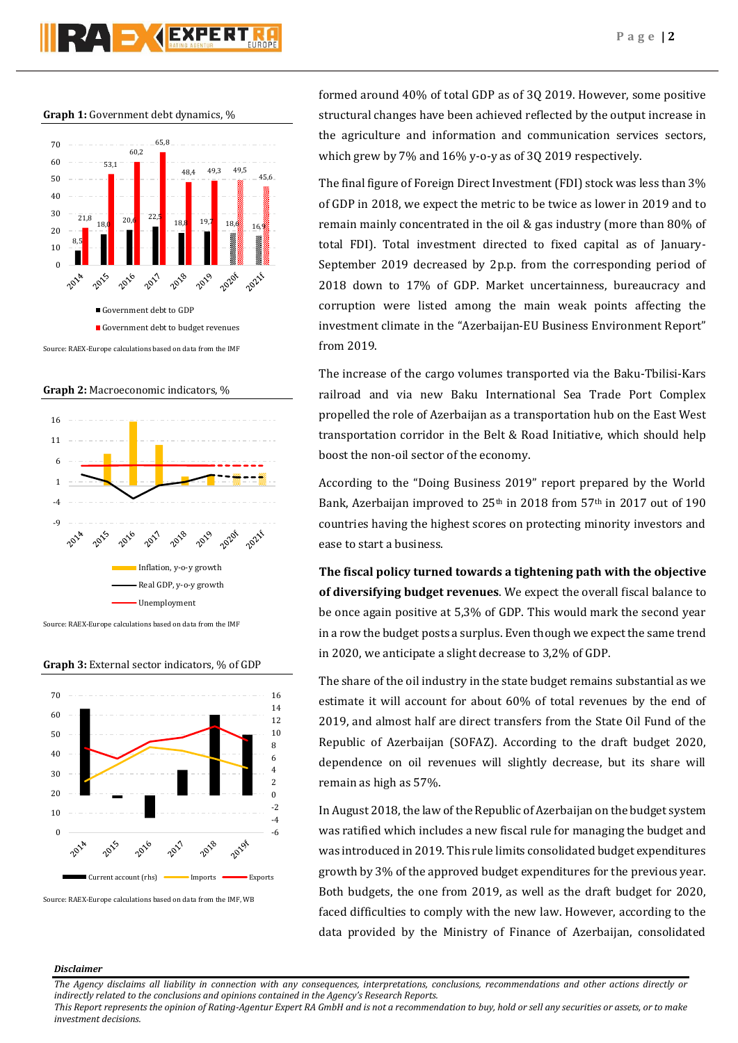# **PZA S GEXPERT**

**Graph 1:** Government debt dynamics, %



Source: RAEX-Europe calculations based on data from the IMF

**Graph 2:** Macroeconomic indicators, %



Source: RAEX-Europe calculations based on data from the IMF

**Graph 3:** External sector indicators, % of GDP



Source: RAEX-Europe calculations based on data from the IMF, WB

formed around 40% of total GDP as of 3Q 2019. However, some positive structural changes have been achieved reflected by the output increase in the agriculture and information and communication services sectors, which grew by 7% and 16% y-o-y as of 3Q 2019 respectively.

The final figure of Foreign Direct Investment (FDI) stock was less than 3% of GDP in 2018, we expect the metric to be twice as lower in 2019 and to remain mainly concentrated in the oil & gas industry (more than 80% of total FDI). Total investment directed to fixed capital as of January-September 2019 decreased by 2p.p. from the corresponding period of 2018 down to 17% of GDP. Market uncertainness, bureaucracy and corruption were listed among the main weak points affecting the investment climate in the "Azerbaijan-EU Business Environment Report" from 2019.

The increase of the cargo volumes transported via the Baku-Tbilisi-Kars railroad and via new Baku International Sea Trade Port Complex propelled the role of Azerbaijan as a transportation hub on the East West transportation corridor in the Belt & Road Initiative, which should help boost the non-oil sector of the economy.

According to the "Doing Business 2019" report prepared by the World Bank, Azerbaijan improved to 25<sup>th</sup> in 2018 from 57<sup>th</sup> in 2017 out of 190 countries having the highest scores on protecting minority investors and ease to start a business.

**The fiscal policy turned towards a tightening path with the objective of diversifying budget revenues**. We expect the overall fiscal balance to be once again positive at 5,3% of GDP. This would mark the second year in a row the budget posts a surplus. Even though we expect the same trend in 2020, we anticipate a slight decrease to 3,2% of GDP.

The share of the oil industry in the state budget remains substantial as we estimate it will account for about 60% of total revenues by the end of 2019, and almost half are direct transfers from the State Oil Fund of the Republic of Azerbaijan (SOFAZ). According to the draft budget 2020, dependence on oil revenues will slightly decrease, but its share will remain as high as 57%.

In August 2018, the law of the Republic of Azerbaijan on the budget system was ratified which includes a new fiscal rule for managing the budget and was introduced in 2019. This rule limits consolidated budget expenditures growth by 3% of the approved budget expenditures for the previous year. Both budgets, the one from 2019, as well as the draft budget for 2020, faced difficulties to comply with the new law. However, according to the data provided by the Ministry of Finance of Azerbaijan, consolidated

#### *Disclaimer*

*The Agency disclaims all liability in connection with any consequences, interpretations, conclusions, recommendations and other actions directly or indirectly related to the conclusions and opinions contained in the Agency's Research Reports.*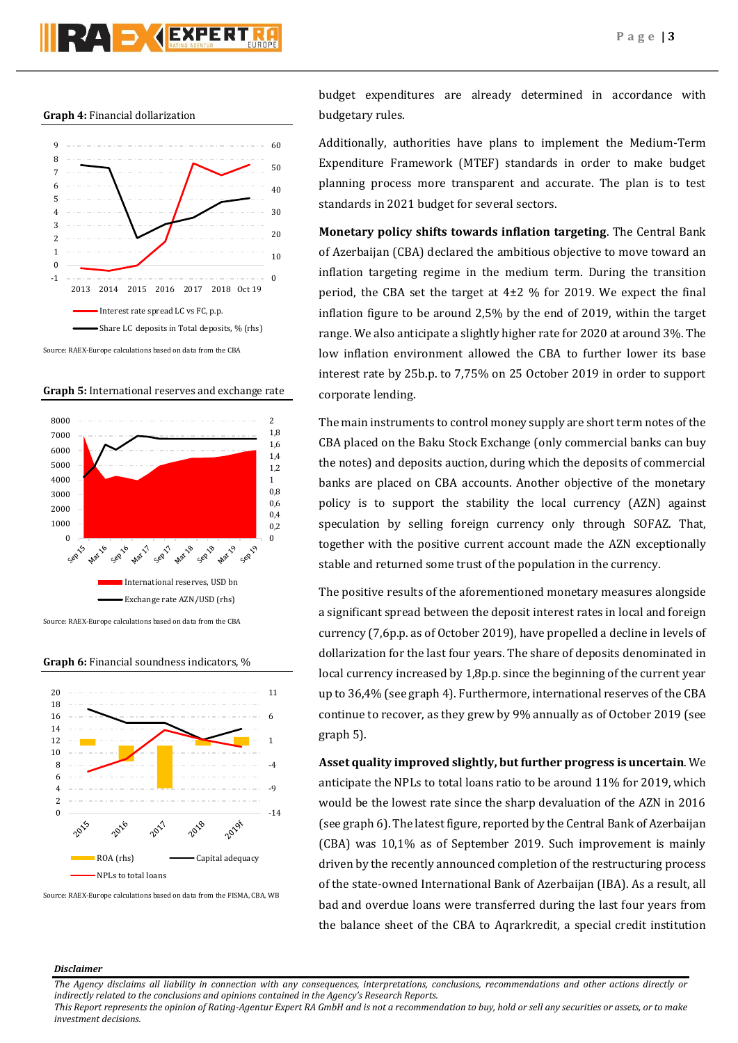



Source: RAEX-Europe calculations based on data from the CBA

**Graph 5:** International reserves and exchange rate



Source: RAEX-Europe calculations based on data from the CBA

**Graph 6:** Financial soundness indicators, %



Source: RAEX-Europe calculations based on data from the FISMA, CBA, WB

budget expenditures are already determined in accordance with budgetary rules.

Additionally, authorities have plans to implement the Medium-Term Expenditure Framework (MTEF) standards in order to make budget planning process more transparent and accurate. The plan is to test standards in 2021 budget for several sectors.

**Monetary policy shifts towards inflation targeting**. The Central Bank of Azerbaijan (CBA) declared the ambitious objective to move toward an inflation targeting regime in the medium term. During the transition period, the CBA set the target at  $4\pm 2$  % for 2019. We expect the final inflation figure to be around 2,5% by the end of 2019, within the target range. We also anticipate a slightly higher rate for 2020 at around 3%. The low inflation environment allowed the CBA to further lower its base interest rate by 25b.p. to 7,75% on 25 October 2019 in order to support corporate lending.

The main instruments to control money supply are short term notes of the CBA placed on the Baku Stock Exchange (only commercial banks can buy the notes) and deposits auction, during which the deposits of commercial banks are placed on CBA accounts. Another objective of the monetary policy is to support the stability the local currency (AZN) against speculation by selling foreign currency only through SOFAZ. That, together with the positive current account made the AZN exceptionally stable and returned some trust of the population in the currency.

The positive results of the aforementioned monetary measures alongside a significant spread between the deposit interest rates in local and foreign currency (7,6p.p. as of October 2019), have propelled a decline in levels of dollarization for the last four years. The share of deposits denominated in local currency increased by 1,8p.p. since the beginning of the current year up to 36,4% (see graph 4). Furthermore, international reserves of the CBA continue to recover, as they grew by 9% annually as of October 2019 (see graph 5).

**Asset quality improved slightly, butfurther progress is uncertain**. We anticipate the NPLs to total loans ratio to be around 11% for 2019, which would be the lowest rate since the sharp devaluation of the AZN in 2016 (see graph 6). The latest figure, reported by the Central Bank of Azerbaijan (CBA) was 10,1% as of September 2019. Such improvement is mainly driven by the recently announced completion of the restructuring process of the state-owned International Bank of Azerbaijan (IBA). As a result, all bad and overdue loans were transferred during the last four years from the balance sheet of the CBA to Aqrarkredit, a special credit institution

#### *Disclaimer*

*The Agency disclaims all liability in connection with any consequences, interpretations, conclusions, recommendations and other actions directly or indirectly related to the conclusions and opinions contained in the Agency's Research Reports.*